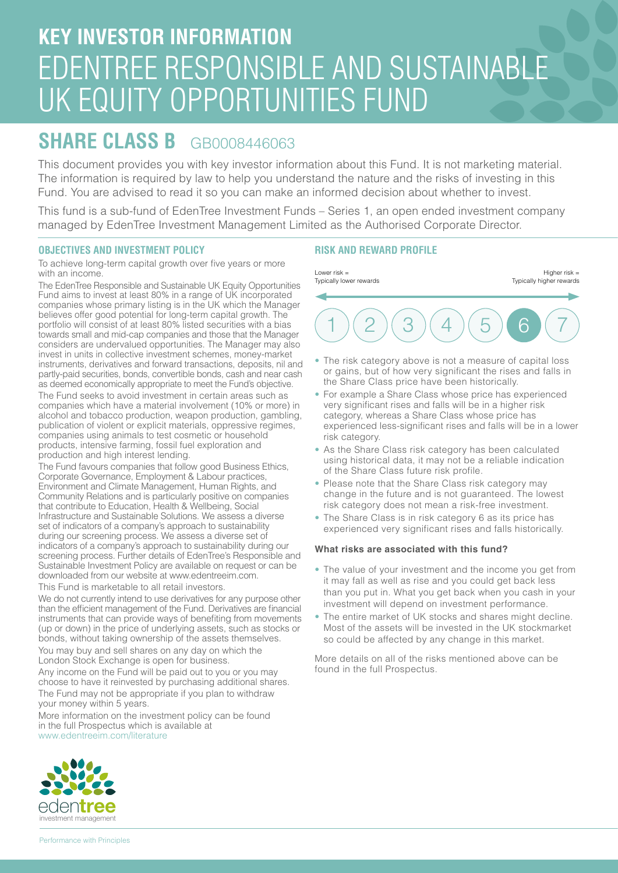# **KEY INVESTOR INFORMATION** EDENTREE RESPONSIBLE AND SUSTAINABLE UK EQUITY OPPORTUNITIES FUND

# **SHARE CLASS B** GB0008446063

This document provides you with key investor information about this Fund. It is not marketing material. The information is required by law to help you understand the nature and the risks of investing in this Fund. You are advised to read it so you can make an informed decision about whether to invest.

This fund is a sub-fund of EdenTree Investment Funds – Series 1, an open ended investment company managed by EdenTree Investment Management Limited as the Authorised Corporate Director.

## **OBJECTIVES AND INVESTMENT POLICY**

To achieve long-term capital growth over five years or more with an income.

The EdenTree Responsible and Sustainable UK Equity Opportunities Fund aims to invest at least 80% in a range of UK incorporated companies whose primary listing is in the UK which the Manager believes offer good potential for long-term capital growth. The portfolio will consist of at least 80% listed securities with a bias towards small and mid-cap companies and those that the Manager considers are undervalued opportunities. The Manager may also invest in units in collective investment schemes, money-market instruments, derivatives and forward transactions, deposits, nil and partly-paid securities, bonds, convertible bonds, cash and near cash as deemed economically appropriate to meet the Fund's objective. The Fund seeks to avoid investment in certain areas such as companies which have a material involvement (10% or more) in alcohol and tobacco production, weapon production, gambling, publication of violent or explicit materials, oppressive regimes, companies using animals to test cosmetic or household

products, intensive farming, fossil fuel exploration and production and high interest lending.

The Fund favours companies that follow good Business Ethics, Corporate Governance, Employment & Labour practices, Environment and Climate Management, Human Rights, and Community Relations and is particularly positive on companies that contribute to Education, Health & Wellbeing, Social Infrastructure and Sustainable Solutions. We assess a diverse set of indicators of a company's approach to sustainability during our screening process. We assess a diverse set of indicators of a company's approach to sustainability during our screening process. Further details of EdenTree's Responsible and Sustainable Investment Policy are available on request or can be downloaded from our website at www.edentreeim.com.

This Fund is marketable to all retail investors.

We do not currently intend to use derivatives for any purpose other than the efficient management of the Fund. Derivatives are financial instruments that can provide ways of benefiting from movements (up or down) in the price of underlying assets, such as stocks or bonds, without taking ownership of the assets themselves. You may buy and sell shares on any day on which the London Stock Exchange is open for business.

Any income on the Fund will be paid out to you or you may choose to have it reinvested by purchasing additional shares. The Fund may not be appropriate if you plan to withdraw

your money within 5 years.

More information on the investment policy can be found in the full Prospectus which is available at www.edentreeim.com/literature

### **RISK AND REWARD PROFILE**



- The risk category above is not a measure of capital loss or gains, but of how very significant the rises and falls in the Share Class price have been historically.
- For example a Share Class whose price has experienced very significant rises and falls will be in a higher risk category, whereas a Share Class whose price has experienced less-significant rises and falls will be in a lower risk category.
- As the Share Class risk category has been calculated using historical data, it may not be a reliable indication of the Share Class future risk profile.
- Please note that the Share Class risk category may change in the future and is not guaranteed. The lowest risk category does not mean a risk-free investment.
- The Share Class is in risk category 6 as its price has experienced very significant rises and falls historically.

#### **What risks are associated with this fund?**

- The value of your investment and the income you get from it may fall as well as rise and you could get back less than you put in. What you get back when you cash in your investment will depend on investment performance.
- The entire market of UK stocks and shares might decline. Most of the assets will be invested in the UK stockmarket so could be affected by any change in this market.

More details on all of the risks mentioned above can be found in the full Prospectus.